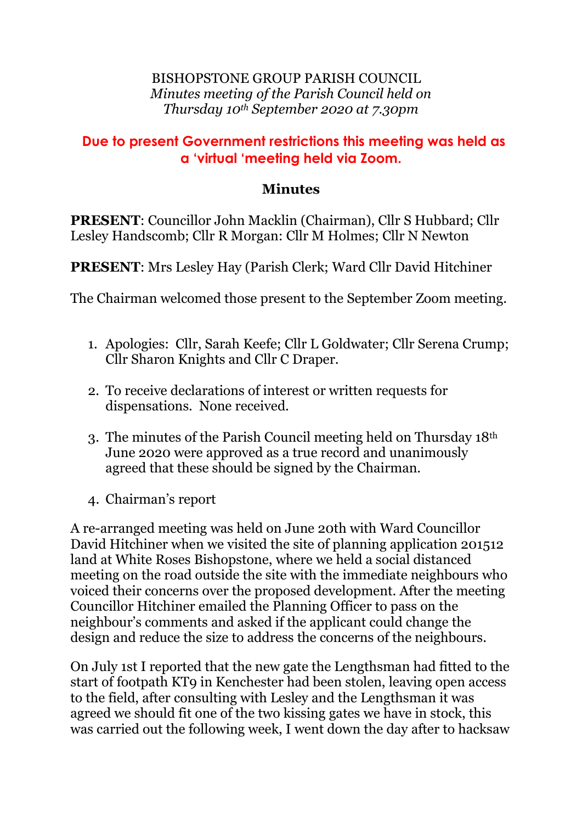## BISHOPSTONE GROUP PARISH COUNCIL *Minutes meeting of the Parish Council held on Thursday 10th September 2020 at 7.30pm*

## **Due to present Government restrictions this meeting was held as a 'virtual 'meeting held via Zoom.**

## **Minutes**

**PRESENT**: Councillor John Macklin (Chairman), Cllr S Hubbard; Cllr Lesley Handscomb; Cllr R Morgan: Cllr M Holmes; Cllr N Newton

**PRESENT**: Mrs Lesley Hay (Parish Clerk; Ward Cllr David Hitchiner

The Chairman welcomed those present to the September Zoom meeting.

- 1. Apologies: Cllr, Sarah Keefe; Cllr L Goldwater; Cllr Serena Crump; Cllr Sharon Knights and Cllr C Draper.
- 2. To receive declarations of interest or written requests for dispensations. None received.
- 3. The minutes of the Parish Council meeting held on Thursday 18th June 2020 were approved as a true record and unanimously agreed that these should be signed by the Chairman.
- 4. Chairman's report

A re-arranged meeting was held on June 20th with Ward Councillor David Hitchiner when we visited the site of planning application 201512 land at White Roses Bishopstone, where we held a social distanced meeting on the road outside the site with the immediate neighbours who voiced their concerns over the proposed development. After the meeting Councillor Hitchiner emailed the Planning Officer to pass on the neighbour's comments and asked if the applicant could change the design and reduce the size to address the concerns of the neighbours.

On July 1st I reported that the new gate the Lengthsman had fitted to the start of footpath KT9 in Kenchester had been stolen, leaving open access to the field, after consulting with Lesley and the Lengthsman it was agreed we should fit one of the two kissing gates we have in stock, this was carried out the following week, I went down the day after to hacksaw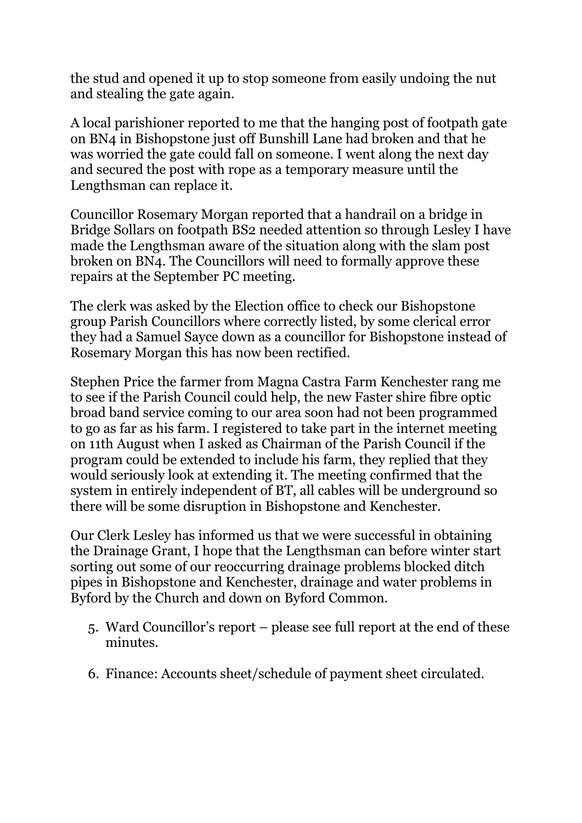the stud and opened it up to stop someone from easily undoing the nut and stealing the gate again.

A local parishioner reported to me that the hanging post of footpath gate on BN4 in Bishopstone just off Bunshill Lane had broken and that he was worried the gate could fall on someone. I went along the next day and secured the post with rope as a temporary measure until the Lengthsman can replace it.

Councillor Rosemary Morgan reported that a handrail on a bridge in Bridge Sollars on footpath BS2 needed attention so through Lesley I have made the Lengthsman aware of the situation along with the slam post broken on BN4. The Councillors will need to formally approve these repairs at the September PC meeting.

The clerk was asked by the Election office to check our Bishopstone group Parish Councillors where correctly listed, by some clerical error they had a Samuel Sayce down as a councillor for Bishopstone instead of Rosemary Morgan this has now been rectified.

Stephen Price the farmer from Magna Castra Farm Kenchester rang me to see if the Parish Council could help, the new Faster shire fibre optic broad band service coming to our area soon had not been programmed to go as far as his farm. I registered to take part in the internet meeting on 11th August when I asked as Chairman of the Parish Council if the program could be extended to include his farm, they replied that they would seriously look at extending it. The meeting confirmed that the system in entirely independent of BT, all cables will be underground so there will be some disruption in Bishopstone and Kenchester.

Our Clerk Lesley has informed us that we were successful in obtaining the Drainage Grant, I hope that the Lengthsman can before winter start sorting out some of our reoccurring drainage problems blocked ditch pipes in Bishopstone and Kenchester, drainage and water problems in Byford by the Church and down on Byford Common.

- 5. Ward Councillor's report please see full report at the end of these minutes.
- 6. Finance: Accounts sheet/schedule of payment sheet circulated.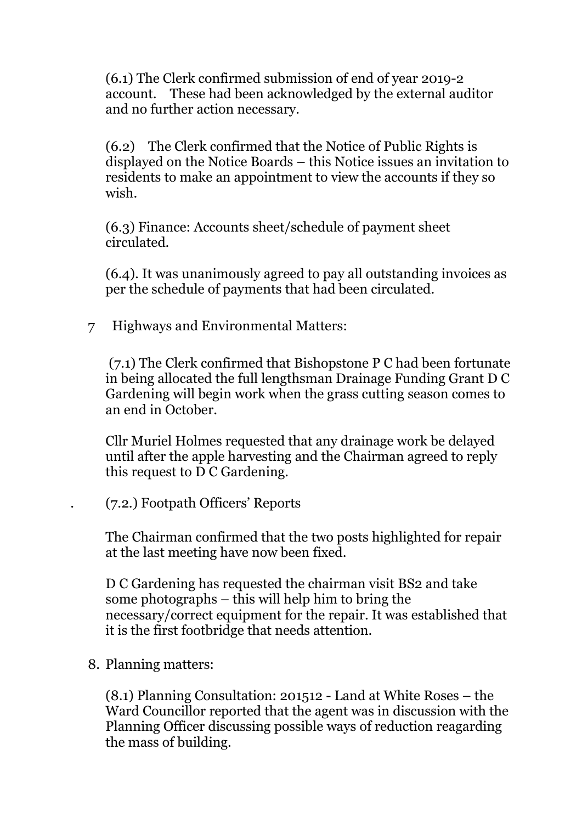(6.1) The Clerk confirmed submission of end of year 2019-2 account. These had been acknowledged by the external auditor and no further action necessary.

(6.2) The Clerk confirmed that the Notice of Public Rights is displayed on the Notice Boards – this Notice issues an invitation to residents to make an appointment to view the accounts if they so wish.

(6.3) Finance: Accounts sheet/schedule of payment sheet circulated.

(6.4). It was unanimously agreed to pay all outstanding invoices as per the schedule of payments that had been circulated.

7 Highways and Environmental Matters:

(7.1) The Clerk confirmed that Bishopstone P C had been fortunate in being allocated the full lengthsman Drainage Funding Grant D C Gardening will begin work when the grass cutting season comes to an end in October.

Cllr Muriel Holmes requested that any drainage work be delayed until after the apple harvesting and the Chairman agreed to reply this request to D C Gardening.

. (7.2.) Footpath Officers' Reports

The Chairman confirmed that the two posts highlighted for repair at the last meeting have now been fixed.

D C Gardening has requested the chairman visit BS2 and take some photographs – this will help him to bring the necessary/correct equipment for the repair. It was established that it is the first footbridge that needs attention.

8. Planning matters:

(8.1) Planning Consultation: 201512 - Land at White Roses – the Ward Councillor reported that the agent was in discussion with the Planning Officer discussing possible ways of reduction reagarding the mass of building.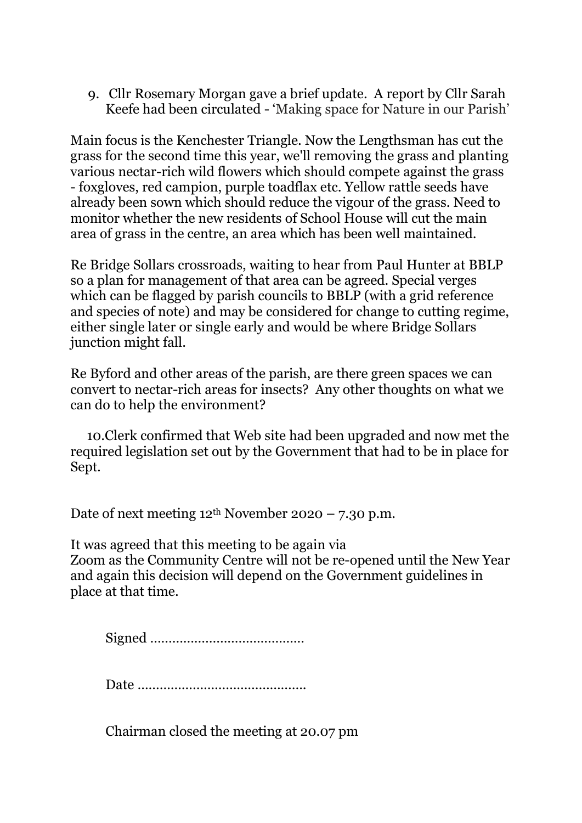9. Cllr Rosemary Morgan gave a brief update. A report by Cllr Sarah Keefe had been circulated - 'Making space for Nature in our Parish'

Main focus is the Kenchester Triangle. Now the Lengthsman has cut the grass for the second time this year, we'll removing the grass and planting various nectar-rich wild flowers which should compete against the grass - foxgloves, red campion, purple toadflax etc. Yellow rattle seeds have already been sown which should reduce the vigour of the grass. Need to monitor whether the new residents of School House will cut the main area of grass in the centre, an area which has been well maintained.

Re Bridge Sollars crossroads, waiting to hear from Paul Hunter at BBLP so a plan for management of that area can be agreed. Special verges which can be flagged by parish councils to BBLP (with a grid reference and species of note) and may be considered for change to cutting regime, either single later or single early and would be where Bridge Sollars junction might fall.

Re Byford and other areas of the parish, are there green spaces we can convert to nectar-rich areas for insects? Any other thoughts on what we can do to help the environment?

 10.Clerk confirmed that Web site had been upgraded and now met the required legislation set out by the Government that had to be in place for Sept.

Date of next meeting  $12<sup>th</sup>$  November 2020 – 7.30 p.m.

It was agreed that this meeting to be again via Zoom as the Community Centre will not be re-opened until the New Year and again this decision will depend on the Government guidelines in place at that time.

Signed ……………………………………

Date ……………………………………….

Chairman closed the meeting at 20.07 pm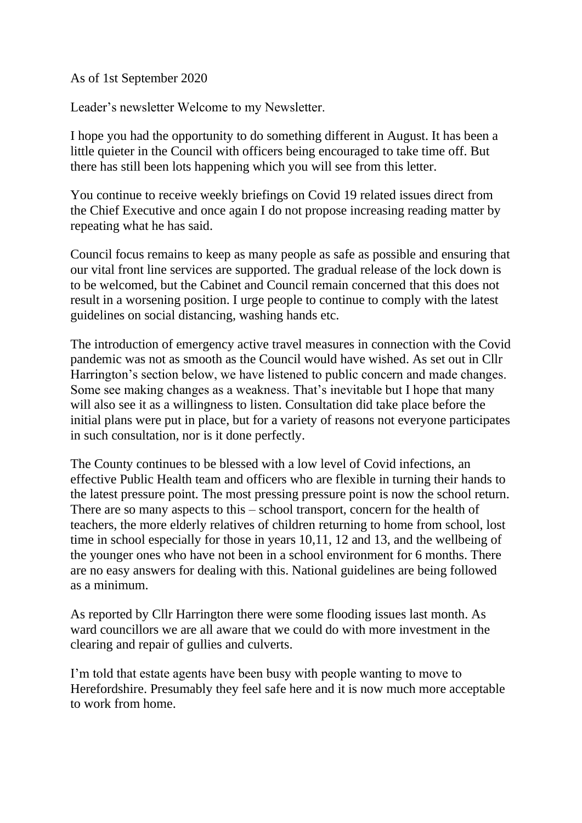As of 1st September 2020

Leader's newsletter Welcome to my Newsletter.

I hope you had the opportunity to do something different in August. It has been a little quieter in the Council with officers being encouraged to take time off. But there has still been lots happening which you will see from this letter.

You continue to receive weekly briefings on Covid 19 related issues direct from the Chief Executive and once again I do not propose increasing reading matter by repeating what he has said.

Council focus remains to keep as many people as safe as possible and ensuring that our vital front line services are supported. The gradual release of the lock down is to be welcomed, but the Cabinet and Council remain concerned that this does not result in a worsening position. I urge people to continue to comply with the latest guidelines on social distancing, washing hands etc.

The introduction of emergency active travel measures in connection with the Covid pandemic was not as smooth as the Council would have wished. As set out in Cllr Harrington's section below, we have listened to public concern and made changes. Some see making changes as a weakness. That's inevitable but I hope that many will also see it as a willingness to listen. Consultation did take place before the initial plans were put in place, but for a variety of reasons not everyone participates in such consultation, nor is it done perfectly.

The County continues to be blessed with a low level of Covid infections, an effective Public Health team and officers who are flexible in turning their hands to the latest pressure point. The most pressing pressure point is now the school return. There are so many aspects to this – school transport, concern for the health of teachers, the more elderly relatives of children returning to home from school, lost time in school especially for those in years 10,11, 12 and 13, and the wellbeing of the younger ones who have not been in a school environment for 6 months. There are no easy answers for dealing with this. National guidelines are being followed as a minimum.

As reported by Cllr Harrington there were some flooding issues last month. As ward councillors we are all aware that we could do with more investment in the clearing and repair of gullies and culverts.

I'm told that estate agents have been busy with people wanting to move to Herefordshire. Presumably they feel safe here and it is now much more acceptable to work from home.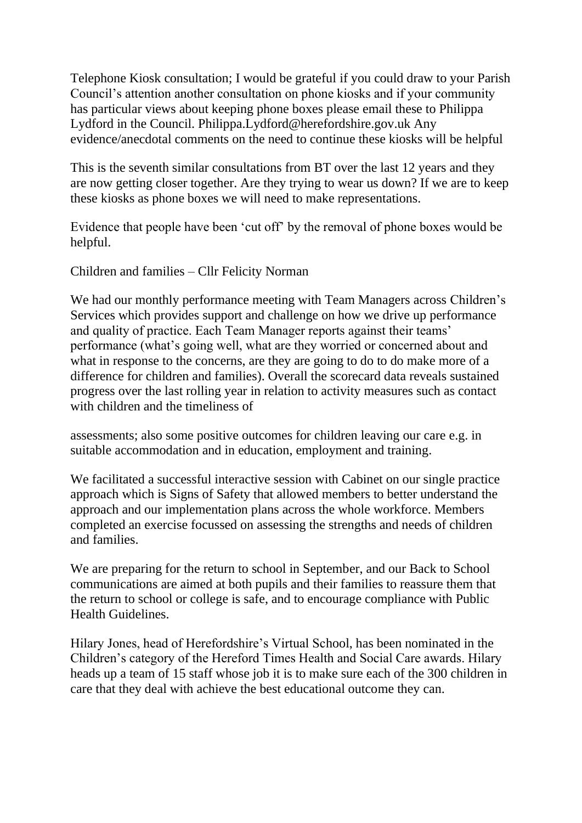Telephone Kiosk consultation; I would be grateful if you could draw to your Parish Council's attention another consultation on phone kiosks and if your community has particular views about keeping phone boxes please email these to Philippa Lydford in the Council. Philippa.Lydford@herefordshire.gov.uk Any evidence/anecdotal comments on the need to continue these kiosks will be helpful

This is the seventh similar consultations from BT over the last 12 years and they are now getting closer together. Are they trying to wear us down? If we are to keep these kiosks as phone boxes we will need to make representations.

Evidence that people have been 'cut off' by the removal of phone boxes would be helpful.

Children and families – Cllr Felicity Norman

We had our monthly performance meeting with Team Managers across Children's Services which provides support and challenge on how we drive up performance and quality of practice. Each Team Manager reports against their teams' performance (what's going well, what are they worried or concerned about and what in response to the concerns, are they are going to do to do make more of a difference for children and families). Overall the scorecard data reveals sustained progress over the last rolling year in relation to activity measures such as contact with children and the timeliness of

assessments; also some positive outcomes for children leaving our care e.g. in suitable accommodation and in education, employment and training.

We facilitated a successful interactive session with Cabinet on our single practice approach which is Signs of Safety that allowed members to better understand the approach and our implementation plans across the whole workforce. Members completed an exercise focussed on assessing the strengths and needs of children and families.

We are preparing for the return to school in September, and our Back to School communications are aimed at both pupils and their families to reassure them that the return to school or college is safe, and to encourage compliance with Public Health Guidelines.

Hilary Jones, head of Herefordshire's Virtual School, has been nominated in the Children's category of the Hereford Times Health and Social Care awards. Hilary heads up a team of 15 staff whose job it is to make sure each of the 300 children in care that they deal with achieve the best educational outcome they can.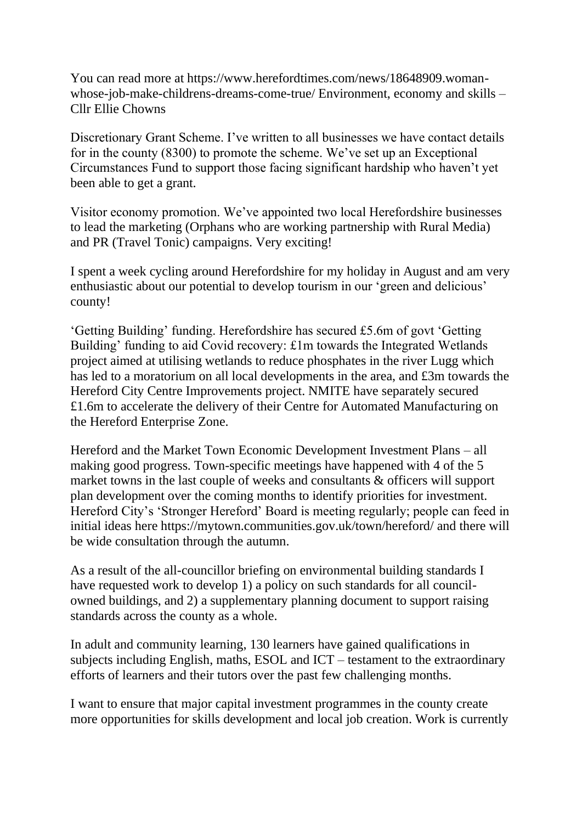You can read more at https://www.herefordtimes.com/news/18648909.womanwhose-job-make-childrens-dreams-come-true/ Environment, economy and skills – Cllr Ellie Chowns

Discretionary Grant Scheme. I've written to all businesses we have contact details for in the county (8300) to promote the scheme. We've set up an Exceptional Circumstances Fund to support those facing significant hardship who haven't yet been able to get a grant.

Visitor economy promotion. We've appointed two local Herefordshire businesses to lead the marketing (Orphans who are working partnership with Rural Media) and PR (Travel Tonic) campaigns. Very exciting!

I spent a week cycling around Herefordshire for my holiday in August and am very enthusiastic about our potential to develop tourism in our 'green and delicious' county!

'Getting Building' funding. Herefordshire has secured £5.6m of govt 'Getting Building' funding to aid Covid recovery: £1m towards the Integrated Wetlands project aimed at utilising wetlands to reduce phosphates in the river Lugg which has led to a moratorium on all local developments in the area, and £3m towards the Hereford City Centre Improvements project. NMITE have separately secured £1.6m to accelerate the delivery of their Centre for Automated Manufacturing on the Hereford Enterprise Zone.

Hereford and the Market Town Economic Development Investment Plans – all making good progress. Town-specific meetings have happened with 4 of the 5 market towns in the last couple of weeks and consultants & officers will support plan development over the coming months to identify priorities for investment. Hereford City's 'Stronger Hereford' Board is meeting regularly; people can feed in initial ideas here https://mytown.communities.gov.uk/town/hereford/ and there will be wide consultation through the autumn.

As a result of the all-councillor briefing on environmental building standards I have requested work to develop 1) a policy on such standards for all councilowned buildings, and 2) a supplementary planning document to support raising standards across the county as a whole.

In adult and community learning, 130 learners have gained qualifications in subjects including English, maths, ESOL and ICT – testament to the extraordinary efforts of learners and their tutors over the past few challenging months.

I want to ensure that major capital investment programmes in the county create more opportunities for skills development and local job creation. Work is currently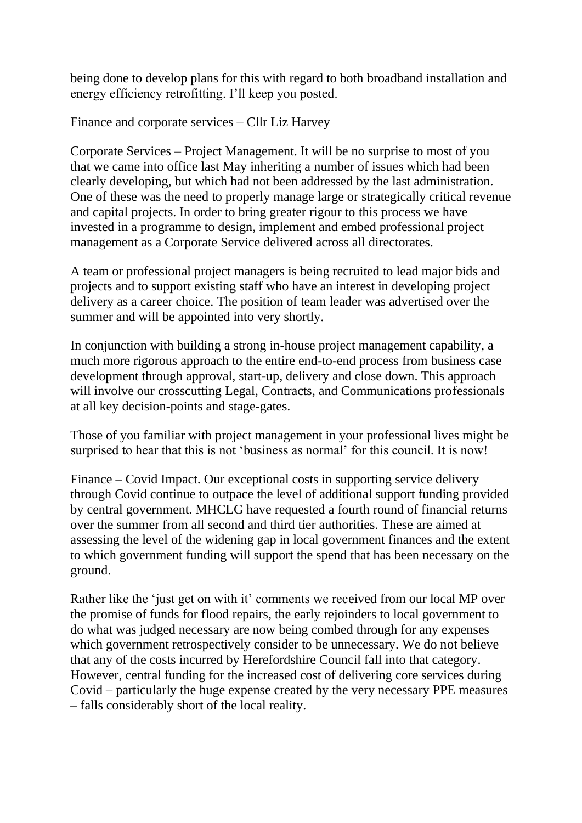being done to develop plans for this with regard to both broadband installation and energy efficiency retrofitting. I'll keep you posted.

Finance and corporate services – Cllr Liz Harvey

Corporate Services – Project Management. It will be no surprise to most of you that we came into office last May inheriting a number of issues which had been clearly developing, but which had not been addressed by the last administration. One of these was the need to properly manage large or strategically critical revenue and capital projects. In order to bring greater rigour to this process we have invested in a programme to design, implement and embed professional project management as a Corporate Service delivered across all directorates.

A team or professional project managers is being recruited to lead major bids and projects and to support existing staff who have an interest in developing project delivery as a career choice. The position of team leader was advertised over the summer and will be appointed into very shortly.

In conjunction with building a strong in-house project management capability, a much more rigorous approach to the entire end-to-end process from business case development through approval, start-up, delivery and close down. This approach will involve our crosscutting Legal, Contracts, and Communications professionals at all key decision-points and stage-gates.

Those of you familiar with project management in your professional lives might be surprised to hear that this is not 'business as normal' for this council. It is now!

Finance – Covid Impact. Our exceptional costs in supporting service delivery through Covid continue to outpace the level of additional support funding provided by central government. MHCLG have requested a fourth round of financial returns over the summer from all second and third tier authorities. These are aimed at assessing the level of the widening gap in local government finances and the extent to which government funding will support the spend that has been necessary on the ground.

Rather like the 'just get on with it' comments we received from our local MP over the promise of funds for flood repairs, the early rejoinders to local government to do what was judged necessary are now being combed through for any expenses which government retrospectively consider to be unnecessary. We do not believe that any of the costs incurred by Herefordshire Council fall into that category. However, central funding for the increased cost of delivering core services during Covid – particularly the huge expense created by the very necessary PPE measures – falls considerably short of the local reality.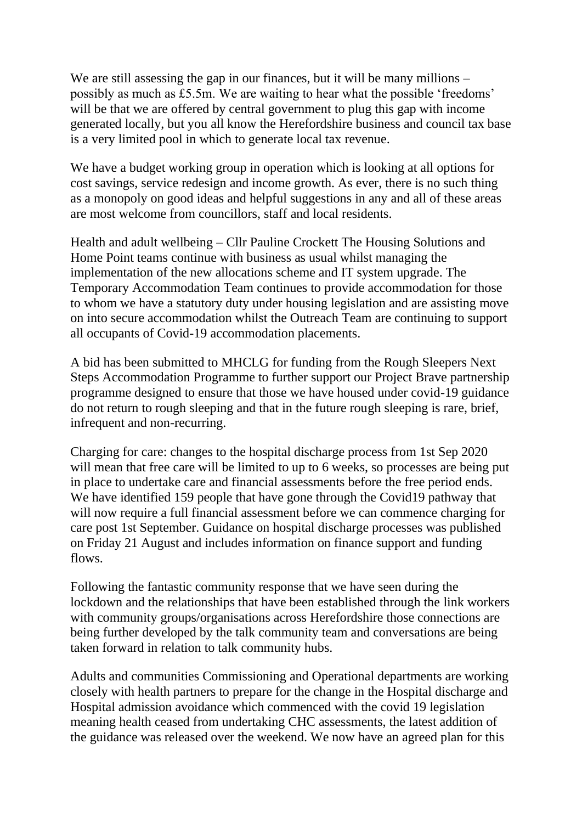We are still assessing the gap in our finances, but it will be many millions – possibly as much as £5.5m. We are waiting to hear what the possible 'freedoms' will be that we are offered by central government to plug this gap with income generated locally, but you all know the Herefordshire business and council tax base is a very limited pool in which to generate local tax revenue.

We have a budget working group in operation which is looking at all options for cost savings, service redesign and income growth. As ever, there is no such thing as a monopoly on good ideas and helpful suggestions in any and all of these areas are most welcome from councillors, staff and local residents.

Health and adult wellbeing – Cllr Pauline Crockett The Housing Solutions and Home Point teams continue with business as usual whilst managing the implementation of the new allocations scheme and IT system upgrade. The Temporary Accommodation Team continues to provide accommodation for those to whom we have a statutory duty under housing legislation and are assisting move on into secure accommodation whilst the Outreach Team are continuing to support all occupants of Covid-19 accommodation placements.

A bid has been submitted to MHCLG for funding from the Rough Sleepers Next Steps Accommodation Programme to further support our Project Brave partnership programme designed to ensure that those we have housed under covid-19 guidance do not return to rough sleeping and that in the future rough sleeping is rare, brief, infrequent and non-recurring.

Charging for care: changes to the hospital discharge process from 1st Sep 2020 will mean that free care will be limited to up to 6 weeks, so processes are being put in place to undertake care and financial assessments before the free period ends. We have identified 159 people that have gone through the Covid19 pathway that will now require a full financial assessment before we can commence charging for care post 1st September. Guidance on hospital discharge processes was published on Friday 21 August and includes information on finance support and funding flows.

Following the fantastic community response that we have seen during the lockdown and the relationships that have been established through the link workers with community groups/organisations across Herefordshire those connections are being further developed by the talk community team and conversations are being taken forward in relation to talk community hubs.

Adults and communities Commissioning and Operational departments are working closely with health partners to prepare for the change in the Hospital discharge and Hospital admission avoidance which commenced with the covid 19 legislation meaning health ceased from undertaking CHC assessments, the latest addition of the guidance was released over the weekend. We now have an agreed plan for this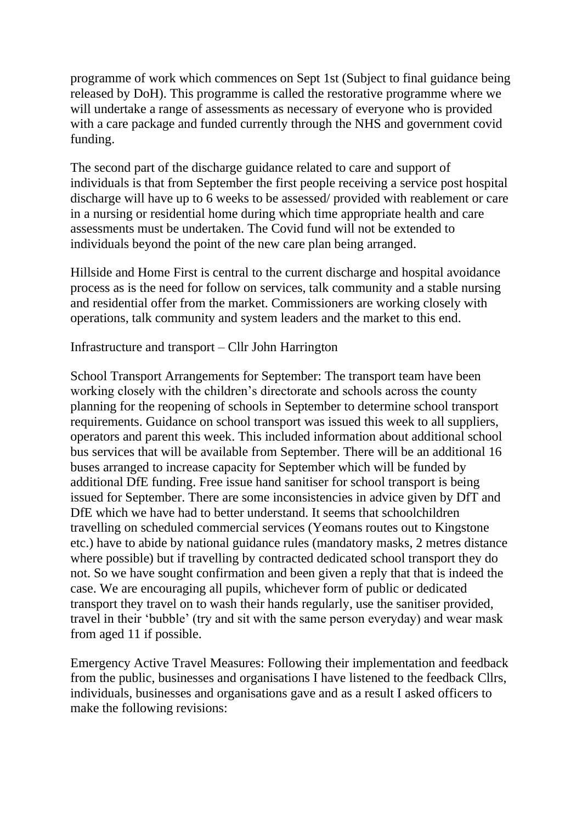programme of work which commences on Sept 1st (Subject to final guidance being released by DoH). This programme is called the restorative programme where we will undertake a range of assessments as necessary of everyone who is provided with a care package and funded currently through the NHS and government covid funding.

The second part of the discharge guidance related to care and support of individuals is that from September the first people receiving a service post hospital discharge will have up to 6 weeks to be assessed/ provided with reablement or care in a nursing or residential home during which time appropriate health and care assessments must be undertaken. The Covid fund will not be extended to individuals beyond the point of the new care plan being arranged.

Hillside and Home First is central to the current discharge and hospital avoidance process as is the need for follow on services, talk community and a stable nursing and residential offer from the market. Commissioners are working closely with operations, talk community and system leaders and the market to this end.

## Infrastructure and transport – Cllr John Harrington

School Transport Arrangements for September: The transport team have been working closely with the children's directorate and schools across the county planning for the reopening of schools in September to determine school transport requirements. Guidance on school transport was issued this week to all suppliers, operators and parent this week. This included information about additional school bus services that will be available from September. There will be an additional 16 buses arranged to increase capacity for September which will be funded by additional DfE funding. Free issue hand sanitiser for school transport is being issued for September. There are some inconsistencies in advice given by DfT and DfE which we have had to better understand. It seems that schoolchildren travelling on scheduled commercial services (Yeomans routes out to Kingstone etc.) have to abide by national guidance rules (mandatory masks, 2 metres distance where possible) but if travelling by contracted dedicated school transport they do not. So we have sought confirmation and been given a reply that that is indeed the case. We are encouraging all pupils, whichever form of public or dedicated transport they travel on to wash their hands regularly, use the sanitiser provided, travel in their 'bubble' (try and sit with the same person everyday) and wear mask from aged 11 if possible.

Emergency Active Travel Measures: Following their implementation and feedback from the public, businesses and organisations I have listened to the feedback Cllrs, individuals, businesses and organisations gave and as a result I asked officers to make the following revisions: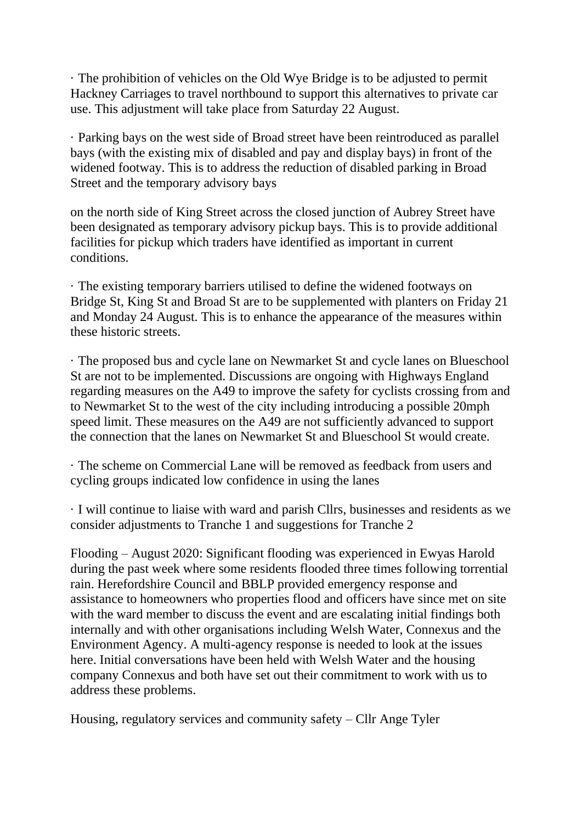· The prohibition of vehicles on the Old Wye Bridge is to be adjusted to permit Hackney Carriages to travel northbound to support this alternatives to private car use. This adjustment will take place from Saturday 22 August.

· Parking bays on the west side of Broad street have been reintroduced as parallel bays (with the existing mix of disabled and pay and display bays) in front of the widened footway. This is to address the reduction of disabled parking in Broad Street and the temporary advisory bays

on the north side of King Street across the closed junction of Aubrey Street have been designated as temporary advisory pickup bays. This is to provide additional facilities for pickup which traders have identified as important in current conditions.

· The existing temporary barriers utilised to define the widened footways on Bridge St, King St and Broad St are to be supplemented with planters on Friday 21 and Monday 24 August. This is to enhance the appearance of the measures within these historic streets.

· The proposed bus and cycle lane on Newmarket St and cycle lanes on Blueschool St are not to be implemented. Discussions are ongoing with Highways England regarding measures on the A49 to improve the safety for cyclists crossing from and to Newmarket St to the west of the city including introducing a possible 20mph speed limit. These measures on the A49 are not sufficiently advanced to support the connection that the lanes on Newmarket St and Blueschool St would create.

· The scheme on Commercial Lane will be removed as feedback from users and cycling groups indicated low confidence in using the lanes

· I will continue to liaise with ward and parish Cllrs, businesses and residents as we consider adjustments to Tranche 1 and suggestions for Tranche 2

Flooding – August 2020: Significant flooding was experienced in Ewyas Harold during the past week where some residents flooded three times following torrential rain. Herefordshire Council and BBLP provided emergency response and assistance to homeowners who properties flood and officers have since met on site with the ward member to discuss the event and are escalating initial findings both internally and with other organisations including Welsh Water, Connexus and the Environment Agency. A multi-agency response is needed to look at the issues here. Initial conversations have been held with Welsh Water and the housing company Connexus and both have set out their commitment to work with us to address these problems.

Housing, regulatory services and community safety – Cllr Ange Tyler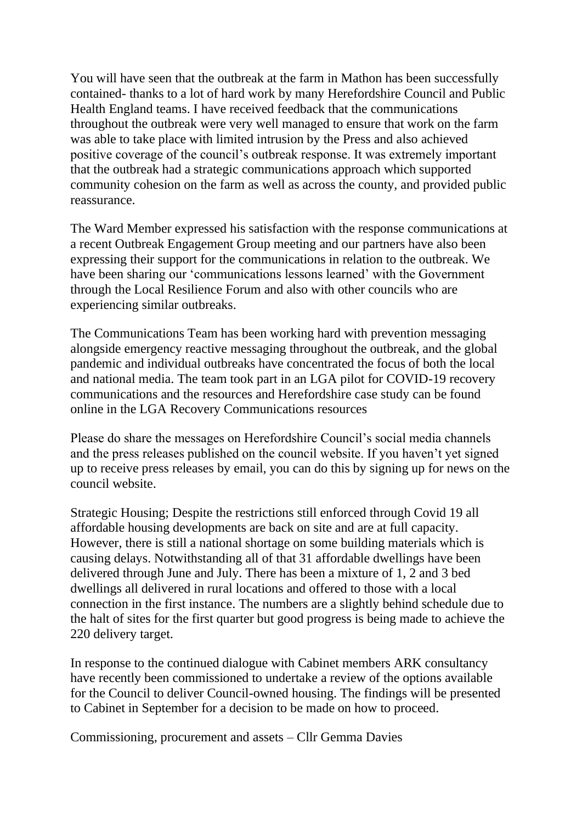You will have seen that the outbreak at the farm in Mathon has been successfully contained- thanks to a lot of hard work by many Herefordshire Council and Public Health England teams. I have received feedback that the communications throughout the outbreak were very well managed to ensure that work on the farm was able to take place with limited intrusion by the Press and also achieved positive coverage of the council's outbreak response. It was extremely important that the outbreak had a strategic communications approach which supported community cohesion on the farm as well as across the county, and provided public reassurance.

The Ward Member expressed his satisfaction with the response communications at a recent Outbreak Engagement Group meeting and our partners have also been expressing their support for the communications in relation to the outbreak. We have been sharing our 'communications lessons learned' with the Government through the Local Resilience Forum and also with other councils who are experiencing similar outbreaks.

The Communications Team has been working hard with prevention messaging alongside emergency reactive messaging throughout the outbreak, and the global pandemic and individual outbreaks have concentrated the focus of both the local and national media. The team took part in an LGA pilot for COVID-19 recovery communications and the resources and Herefordshire case study can be found online in the LGA Recovery Communications resources

Please do share the messages on Herefordshire Council's social media channels and the press releases published on the council website. If you haven't yet signed up to receive press releases by email, you can do this by signing up for news on the council website.

Strategic Housing; Despite the restrictions still enforced through Covid 19 all affordable housing developments are back on site and are at full capacity. However, there is still a national shortage on some building materials which is causing delays. Notwithstanding all of that 31 affordable dwellings have been delivered through June and July. There has been a mixture of 1, 2 and 3 bed dwellings all delivered in rural locations and offered to those with a local connection in the first instance. The numbers are a slightly behind schedule due to the halt of sites for the first quarter but good progress is being made to achieve the 220 delivery target.

In response to the continued dialogue with Cabinet members ARK consultancy have recently been commissioned to undertake a review of the options available for the Council to deliver Council-owned housing. The findings will be presented to Cabinet in September for a decision to be made on how to proceed.

Commissioning, procurement and assets – Cllr Gemma Davies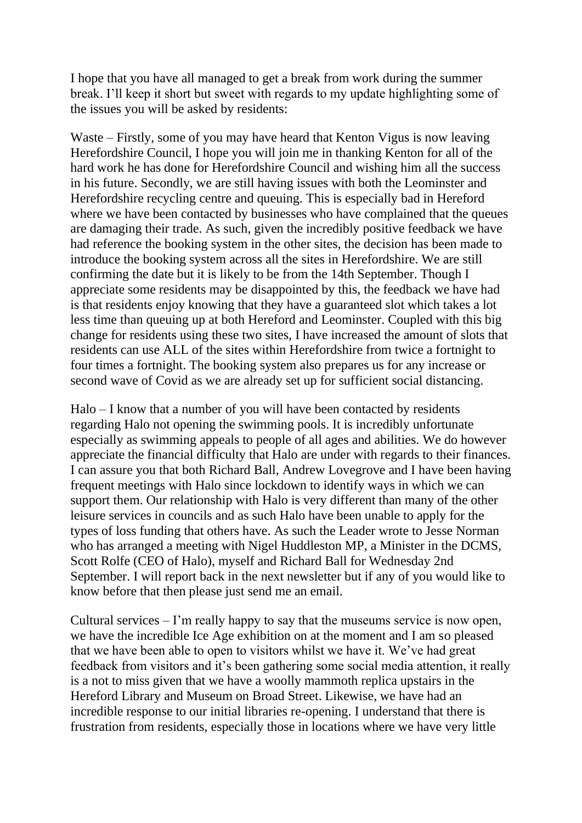I hope that you have all managed to get a break from work during the summer break. I'll keep it short but sweet with regards to my update highlighting some of the issues you will be asked by residents:

Waste – Firstly, some of you may have heard that Kenton Vigus is now leaving Herefordshire Council, I hope you will join me in thanking Kenton for all of the hard work he has done for Herefordshire Council and wishing him all the success in his future. Secondly, we are still having issues with both the Leominster and Herefordshire recycling centre and queuing. This is especially bad in Hereford where we have been contacted by businesses who have complained that the queues are damaging their trade. As such, given the incredibly positive feedback we have had reference the booking system in the other sites, the decision has been made to introduce the booking system across all the sites in Herefordshire. We are still confirming the date but it is likely to be from the 14th September. Though I appreciate some residents may be disappointed by this, the feedback we have had is that residents enjoy knowing that they have a guaranteed slot which takes a lot less time than queuing up at both Hereford and Leominster. Coupled with this big change for residents using these two sites, I have increased the amount of slots that residents can use ALL of the sites within Herefordshire from twice a fortnight to four times a fortnight. The booking system also prepares us for any increase or second wave of Covid as we are already set up for sufficient social distancing.

Halo – I know that a number of you will have been contacted by residents regarding Halo not opening the swimming pools. It is incredibly unfortunate especially as swimming appeals to people of all ages and abilities. We do however appreciate the financial difficulty that Halo are under with regards to their finances. I can assure you that both Richard Ball, Andrew Lovegrove and I have been having frequent meetings with Halo since lockdown to identify ways in which we can support them. Our relationship with Halo is very different than many of the other leisure services in councils and as such Halo have been unable to apply for the types of loss funding that others have. As such the Leader wrote to Jesse Norman who has arranged a meeting with Nigel Huddleston MP, a Minister in the DCMS, Scott Rolfe (CEO of Halo), myself and Richard Ball for Wednesday 2nd September. I will report back in the next newsletter but if any of you would like to know before that then please just send me an email.

Cultural services  $-1$ 'm really happy to say that the museums service is now open, we have the incredible Ice Age exhibition on at the moment and I am so pleased that we have been able to open to visitors whilst we have it. We've had great feedback from visitors and it's been gathering some social media attention, it really is a not to miss given that we have a woolly mammoth replica upstairs in the Hereford Library and Museum on Broad Street. Likewise, we have had an incredible response to our initial libraries re-opening. I understand that there is frustration from residents, especially those in locations where we have very little